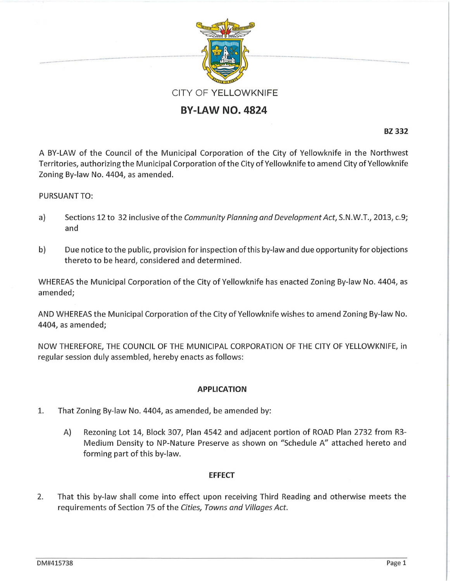

## **BY-LAW NO. 4824**

**BZ 332** 

A BY-LAW of the Council of the Municipal Corporation of the City of Yellowknife in the Northwest Territories, authorizing the Municipal Corporation of the City of Yellowknife to amend City of Yellowknife Zoning By-law No. 4404, as amended.

## PURSUANT TO:

- a) Sections 12 to 32 inclusive of the Community Planning and Development Act, S.N.W.T., 2013, c.9; and
- b) Due notice to the public, provision for inspection of this by-law and due opportunity for objections thereto to be heard, considered and determined.

WHEREAS the Municipal Corporation of the City of Yellowknife has enacted Zoning By-law No. 4404, as amended;

AND WHEREAS the Municipal Corporation of the City of Yellowknife wishes to amend Zoning By-law No. 4404, as amended;

NOW THEREFORE, THE COUNCIL OF THE MUNICIPAL CORPORATION OF THE CITY OF YELLOWKNIFE, in regular session duly assembled, hereby enacts as follows:

## **APPLICATION**

- 1. That Zoning By-law No. 4404, as amended, be amended by:
	- A) Rezoning Lot 14, Block 307, Plan 4542 and adjacent portion of ROAD Plan 2732 from R3- Medium Density to NP-Nature Preserve as shown on "Schedule A" attached hereto and forming part of this by-law.

## **EFFECT**

2. That this by-law shall come into effect upon receiving Third Reading and otherwise meets the requirements of Section 75 of the Cities, Towns and Villages Act.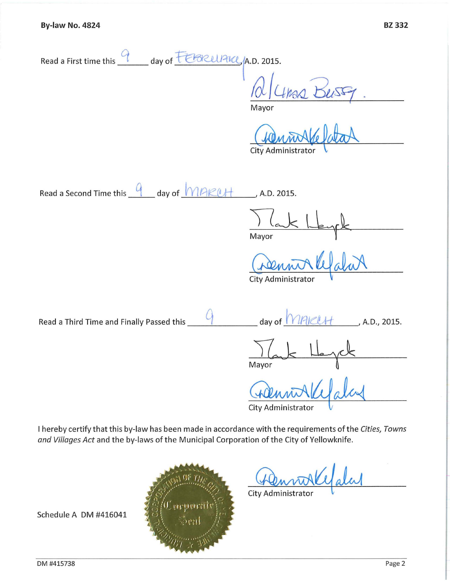Read a First time this <u>9</u> eay of FEBRUPICL<sub>/</sub>A.D. 2015.

*Bluma¥t .* 

Mayor

**City Administrator** 

**Read a Second Time this 4** day of *MAKUH*, A.D. 2015.

Mayor

**City Administrator** 

Read a Third Time and Finally Passed this  $\frac{Q}{1-\frac{Q}{2}}$  day of  $\frac{|\gamma_{H}| \leq l+1}{\gamma_{H}}$ , A.D., 2015.

Mayor

City Administrator

City Administrator

I hereby certify that this by-law has been made in accordance with the requirements of the *Cities, Towns and Villages Act* and the by-laws of the Municipal Corporation of the City of Yellowknife.



Schedule A DM #416041